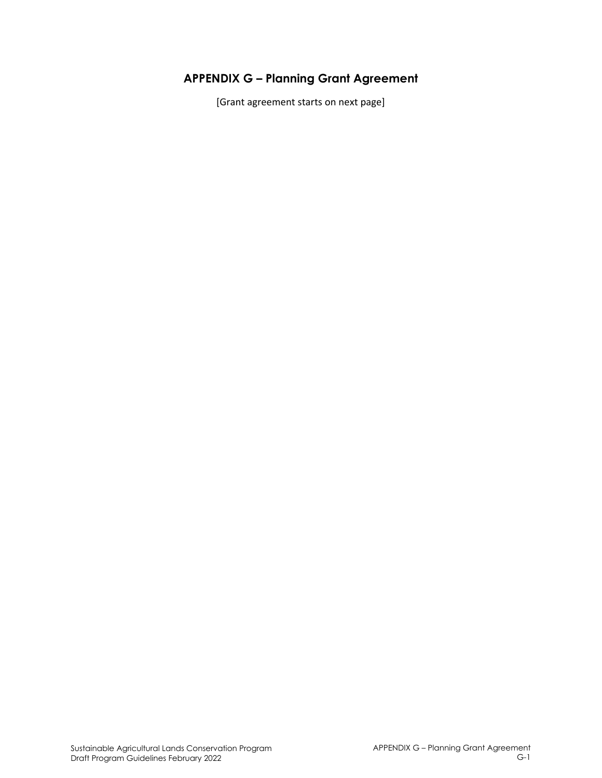## **APPENDIX G – Planning Grant Agreement**

[Grant agreement starts on next page]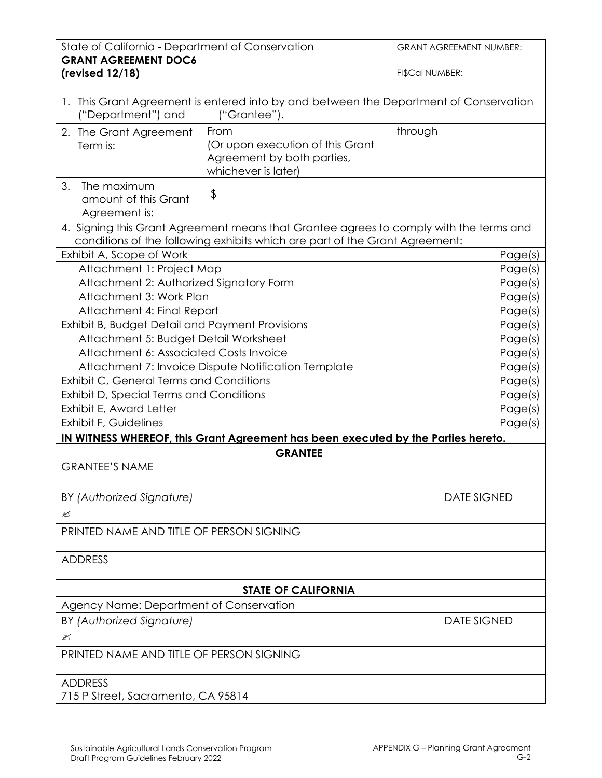| State of California - Department of Conservation<br><b>GRANT AGREEMENT DOC6</b> |                                                                                                                                                                       |                    | <b>GRANT AGREEMENT NUMBER:</b> |
|---------------------------------------------------------------------------------|-----------------------------------------------------------------------------------------------------------------------------------------------------------------------|--------------------|--------------------------------|
| (revised 12/18)                                                                 |                                                                                                                                                                       | FI\$Cal NUMBER:    |                                |
| ("Department") and                                                              | 1. This Grant Agreement is entered into by and between the Department of Conservation<br>("Grantee").                                                                 |                    |                                |
| 2. The Grant Agreement<br>Term is:                                              | From<br>(Or upon execution of this Grant<br>Agreement by both parties,<br>whichever is later)                                                                         | through            |                                |
| 3.<br>The maximum<br>amount of this Grant<br>Agreement is:                      | \$                                                                                                                                                                    |                    |                                |
|                                                                                 | 4. Signing this Grant Agreement means that Grantee agrees to comply with the terms and<br>conditions of the following exhibits which are part of the Grant Agreement: |                    |                                |
| Exhibit A, Scope of Work                                                        |                                                                                                                                                                       |                    | Page(s)                        |
| Attachment 1: Project Map                                                       |                                                                                                                                                                       |                    | Page(s)                        |
| Attachment 2: Authorized Signatory Form                                         |                                                                                                                                                                       |                    | Page(s)                        |
| Attachment 3: Work Plan                                                         |                                                                                                                                                                       |                    | Page(s)                        |
| Attachment 4: Final Report                                                      |                                                                                                                                                                       |                    | Page(s)                        |
| Exhibit B, Budget Detail and Payment Provisions                                 |                                                                                                                                                                       |                    | Page(s)                        |
| Attachment 5: Budget Detail Worksheet                                           |                                                                                                                                                                       |                    | Page(s)                        |
| Attachment 6: Associated Costs Invoice                                          |                                                                                                                                                                       |                    | Page(s)                        |
|                                                                                 |                                                                                                                                                                       |                    |                                |
| Attachment 7: Invoice Dispute Notification Template                             |                                                                                                                                                                       |                    | Page(s)                        |
| Exhibit C, General Terms and Conditions                                         |                                                                                                                                                                       | Page(s)            |                                |
| Exhibit D, Special Terms and Conditions                                         |                                                                                                                                                                       |                    | Page(s)                        |
| Exhibit E, Award Letter                                                         |                                                                                                                                                                       | Page(s)            |                                |
| Exhibit F, Guidelines                                                           |                                                                                                                                                                       |                    | Page(s)                        |
|                                                                                 | IN WITNESS WHEREOF, this Grant Agreement has been executed by the Parties hereto.                                                                                     |                    |                                |
| <b>GRANTEE</b>                                                                  |                                                                                                                                                                       |                    |                                |
| <b>GRANTEE'S NAME</b>                                                           |                                                                                                                                                                       |                    |                                |
| BY (Authorized Signature)                                                       |                                                                                                                                                                       | <b>DATE SIGNED</b> |                                |
| Ø                                                                               |                                                                                                                                                                       |                    |                                |
| PRINTED NAME AND TITLE OF PERSON SIGNING                                        |                                                                                                                                                                       |                    |                                |
| <b>ADDRESS</b>                                                                  |                                                                                                                                                                       |                    |                                |
|                                                                                 | <b>STATE OF CALIFORNIA</b>                                                                                                                                            |                    |                                |
| Agency Name: Department of Conservation                                         |                                                                                                                                                                       |                    |                                |
| BY (Authorized Signature)                                                       |                                                                                                                                                                       |                    | <b>DATE SIGNED</b>             |
| ≤                                                                               |                                                                                                                                                                       |                    |                                |
| PRINTED NAME AND TITLE OF PERSON SIGNING                                        |                                                                                                                                                                       |                    |                                |
|                                                                                 |                                                                                                                                                                       |                    |                                |
| <b>ADDRESS</b>                                                                  |                                                                                                                                                                       |                    |                                |
| 715 P Street, Sacramento, CA 95814                                              |                                                                                                                                                                       |                    |                                |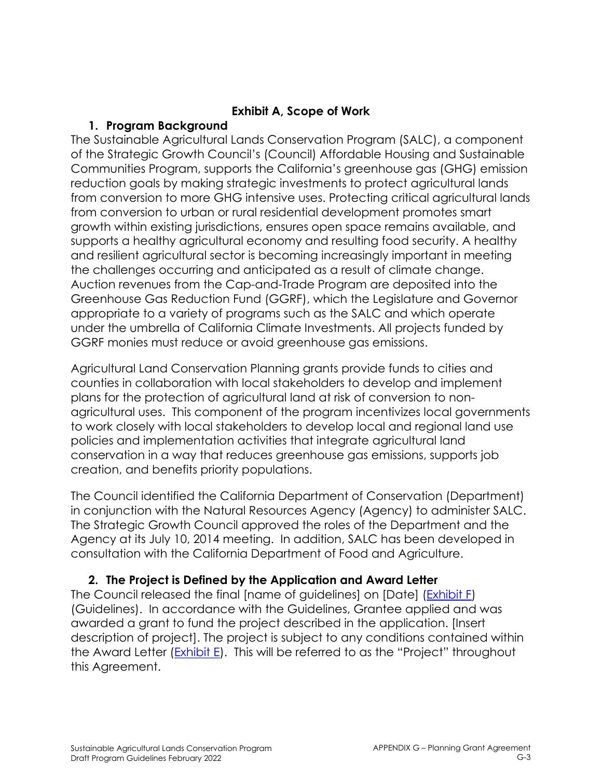### **Exhibit A, Scope of Work**

### **1. Program Background**

The Sustainable Agricultural Lands Conservation Program (SALC), a component of the Strategic Growth Council's (Council) Affordable Housing and Sustainable Communities Program, supports the California's greenhouse gas (GHG) emission reduction goals by making strategic investments to protect agricultural lands from conversion to more GHG intensive uses. Protecting critical agricultural lands from conversion to urban or rural residential development promotes smart growth within existing jurisdictions, ensures open space remains available, and supports a healthy agricultural economy and resulting food security. A healthy and resilient agricultural sector is becoming increasingly important in meeting the challenges occurring and anticipated as a result of climate change. Auction revenues from the Cap-and-Trade Program are deposited into the Greenhouse Gas Reduction Fund (GGRF), which the Legislature and Governor appropriate to a variety of programs such as the SALC and which operate under the umbrella of California Climate Investments. All projects funded by GGRF monies must reduce or avoid greenhouse gas emissions.

Agricultural Land Conservation Planning grants provide funds to cities and counties in collaboration with local stakeholders to develop and implement plans for the protection of agricultural land at risk of conversion to nonagricultural uses. This component of the program incentivizes local governments to work closely with local stakeholders to develop local and regional land use policies and implementation activities that integrate agricultural land conservation in a way that reduces greenhouse gas emissions, supports job creation, and benefits priority populations.

The Council identified the California Department of Conservation (Department) in conjunction with the Natural Resources Agency (Agency) to administer SALC. The Strategic Growth Council approved the roles of the Department and the Agency at its July 10, 2014 meeting. In addition, SALC has been developed in consultation with the California Department of Food and Agriculture.

## **2. The Project is Defined by the Application and Award Letter**

The Council released the final [name of guidelines] on [Date] (Exhibit F) (Guidelines). In accordance with the Guidelines, Grantee applied and was awarded a grant to fund the project described in the application. [Insert description of project]. The project is subject to any conditions contained within the Award Letter (Exhibit E). This will be referred to as the "Project" throughout this Agreement.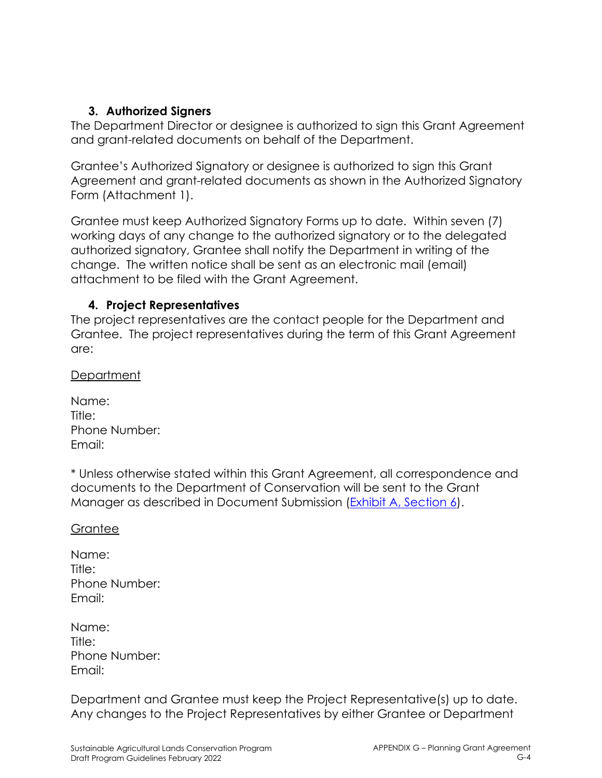### **3. Authorized Signers**

The Department Director or designee is authorized to sign this Grant Agreement and grant-related documents on behalf of the Department.

Grantee's Authorized Signatory or designee is authorized to sign this Grant Agreement and grant-related documents as shown in the Authorized Signatory Form (Attachment 1).

Grantee must keep Authorized Signatory Forms up to date. Within seven (7) working days of any change to the authorized signatory or to the delegated authorized signatory, Grantee shall notify the Department in writing of the change. The written notice shall be sent as an electronic mail (email) attachment to be filed with the Grant Agreement.

### **4. Project Representatives**

The project representatives are the contact people for the Department and Grantee. The project representatives during the term of this Grant Agreement are:

Department

| Name:         |  |
|---------------|--|
| Title:        |  |
| Phone Number: |  |
| Email:        |  |

\* Unless otherwise stated within this Grant Agreement, all correspondence and documents to the Department of Conservation will be sent to the Grant Manager as described in Document Submission (Exhibit A, Section 6).

#### **Grantee**

| Name:         |
|---------------|
| Title:        |
| Phone Number: |
| Email:        |

| Name:         |  |
|---------------|--|
| Title:        |  |
| Phone Number: |  |
| Email:        |  |

Department and Grantee must keep the Project Representative(s) up to date. Any changes to the Project Representatives by either Grantee or Department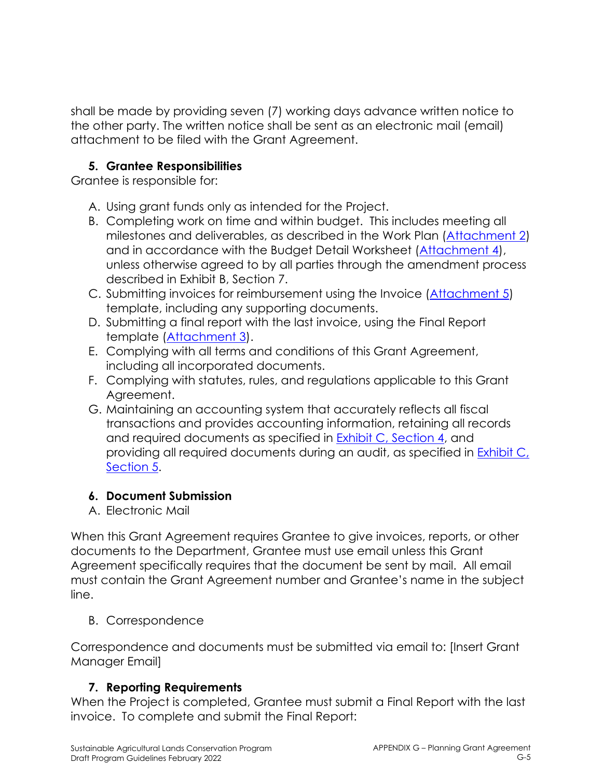shall be made by providing seven (7) working days advance written notice to the other party. The written notice shall be sent as an electronic mail (email) attachment to be filed with the Grant Agreement.

### **5. Grantee Responsibilities**

Grantee is responsible for:

- A. Using grant funds only as intended for the Project.
- B. Completing work on time and within budget. This includes meeting all milestones and deliverables, as described in the Work Plan (Attachment 2) and in accordance with the Budget Detail Worksheet (Attachment 4), unless otherwise agreed to by all parties through the amendment process described in Exhibit B, Section 7.
- C. Submitting invoices for reimbursement using the Invoice (Attachment 5) template, including any supporting documents.
- D. Submitting a final report with the last invoice, using the Final Report template (Attachment 3).
- E. Complying with all terms and conditions of this Grant Agreement, including all incorporated documents.
- F. Complying with statutes, rules, and regulations applicable to this Grant Agreement.
- G. Maintaining an accounting system that accurately reflects all fiscal transactions and provides accounting information, retaining all records and required documents as specified in Exhibit C, Section 4, and providing all required documents during an audit, as specified in **Exhibit C**, Section 5.

## **6. Document Submission**

A. Electronic Mail

When this Grant Agreement requires Grantee to give invoices, reports, or other documents to the Department, Grantee must use email unless this Grant Agreement specifically requires that the document be sent by mail. All email must contain the Grant Agreement number and Grantee's name in the subject line.

## B. Correspondence

Correspondence and documents must be submitted via email to: [Insert Grant Manager Email]

## **7. Reporting Requirements**

When the Project is completed, Grantee must submit a Final Report with the last invoice. To complete and submit the Final Report: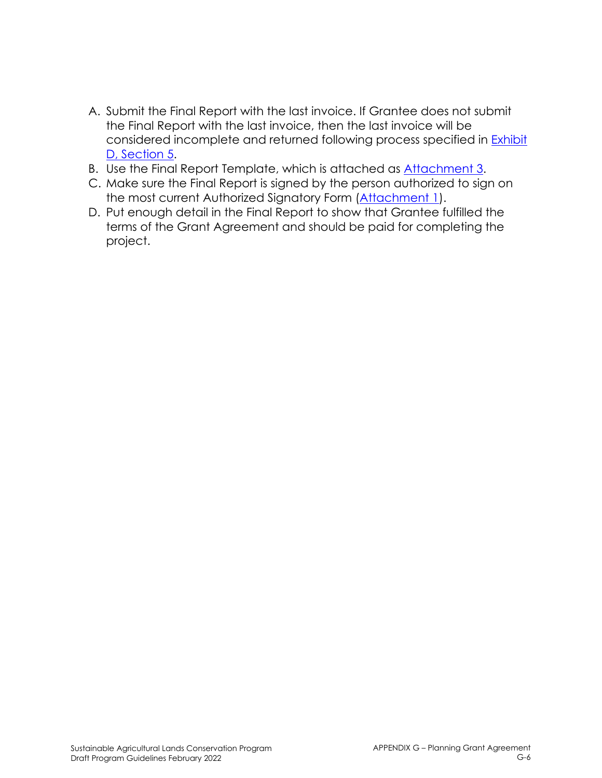- A. Submit the Final Report with the last invoice. If Grantee does not submit the Final Report with the last invoice, then the last invoice will be considered incomplete and returned following process specified in Exhibit D, Section 5.
- B. Use the Final Report Template, which is attached as Attachment 3.
- C. Make sure the Final Report is signed by the person authorized to sign on the most current Authorized Signatory Form (Attachment 1).
- D. Put enough detail in the Final Report to show that Grantee fulfilled the terms of the Grant Agreement and should be paid for completing the project.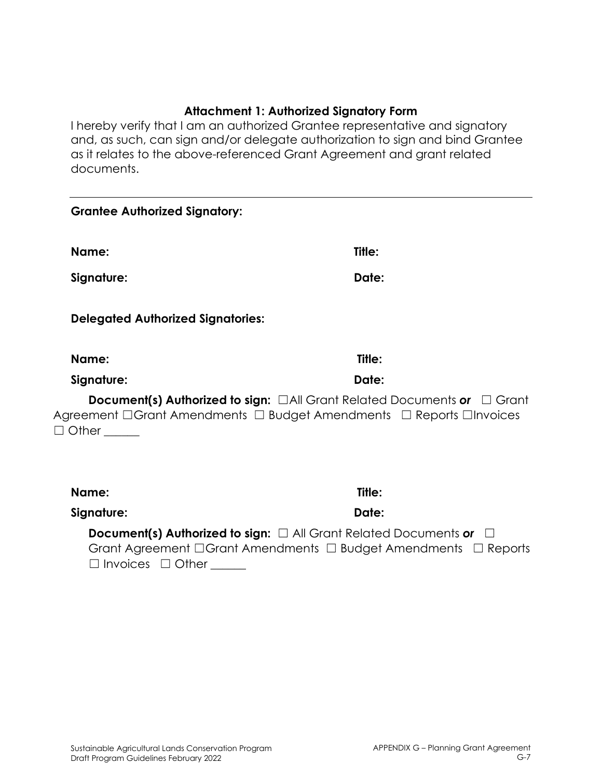#### **Attachment 1: Authorized Signatory Form**

I hereby verify that I am an authorized Grantee representative and signatory and, as such, can sign and/or delegate authorization to sign and bind Grantee as it relates to the above-referenced Grant Agreement and grant related documents.

| <b>Grantee Authorized Signatory:</b>     |                                                                                                                                                                  |
|------------------------------------------|------------------------------------------------------------------------------------------------------------------------------------------------------------------|
| Name:                                    | Title:                                                                                                                                                           |
| Signature:                               | Date:                                                                                                                                                            |
| <b>Delegated Authorized Signatories:</b> |                                                                                                                                                                  |
| Name:                                    | Title:                                                                                                                                                           |
| Signature:                               | Date:                                                                                                                                                            |
| $\Box$ Other                             | <b>Document(s) Authorized to sign:</b> $\Box$ All Grant Related Documents or $\Box$ Grant<br>Agreement □Grant Amendments □ Budget Amendments □ Reports □Invoices |
| Name:                                    | Title:                                                                                                                                                           |
| Signature:                               | Date:                                                                                                                                                            |

**Document(s) Authorized to sign:** □ All Grant Related Documents or □ Grant Agreement □Grant Amendments □ Budget Amendments □ Reports □ Invoices □ Other \_\_\_\_\_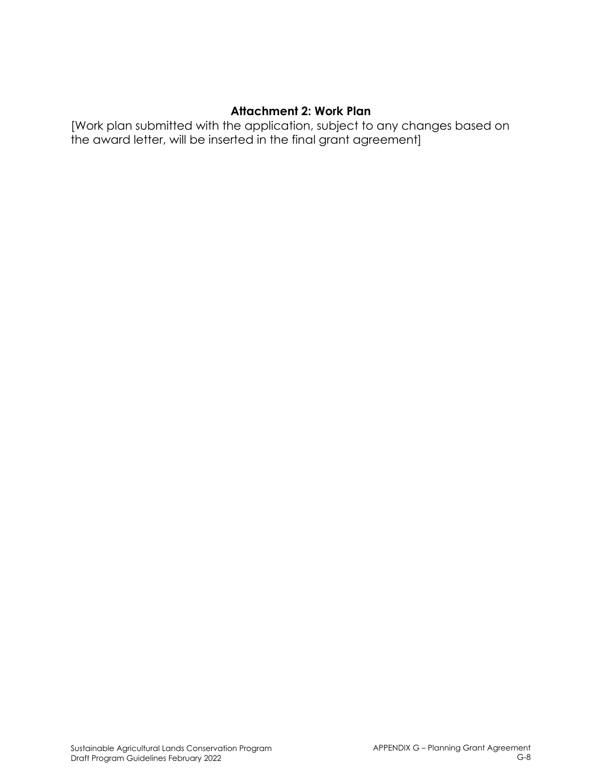#### **Attachment 2: Work Plan**

[Work plan submitted with the application, subject to any changes based on the award letter, will be inserted in the final grant agreement]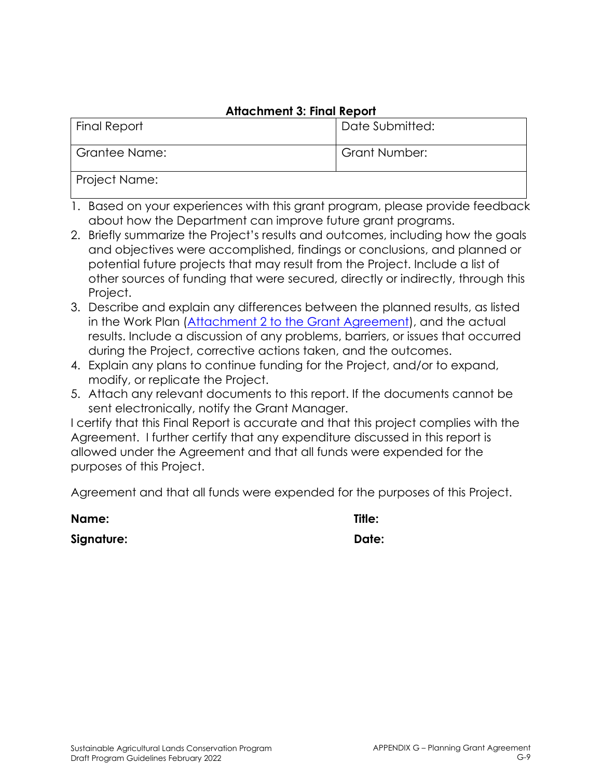### **Attachment 3: Final Report**

| <b>Final Report</b> | Date Submitted: |  |
|---------------------|-----------------|--|
| Grantee Name:       | Grant Number:   |  |
| Project Name:       |                 |  |

- 1. Based on your experiences with this grant program, please provide feedback about how the Department can improve future grant programs.
- 2. Briefly summarize the Project's results and outcomes, including how the goals and objectives were accomplished, findings or conclusions, and planned or potential future projects that may result from the Project. Include a list of other sources of funding that were secured, directly or indirectly, through this Project.
- 3. Describe and explain any differences between the planned results, as listed in the Work Plan (Attachment 2 to the Grant Agreement), and the actual results. Include a discussion of any problems, barriers, or issues that occurred during the Project, corrective actions taken, and the outcomes.
- 4. Explain any plans to continue funding for the Project, and/or to expand, modify, or replicate the Project.
- 5. Attach any relevant documents to this report. If the documents cannot be sent electronically, notify the Grant Manager.

I certify that this Final Report is accurate and that this project complies with the Agreement. I further certify that any expenditure discussed in this report is allowed under the Agreement and that all funds were expended for the purposes of this Project.

Agreement and that all funds were expended for the purposes of this Project.

| Name:      | Title: |
|------------|--------|
| Signature: | Date:  |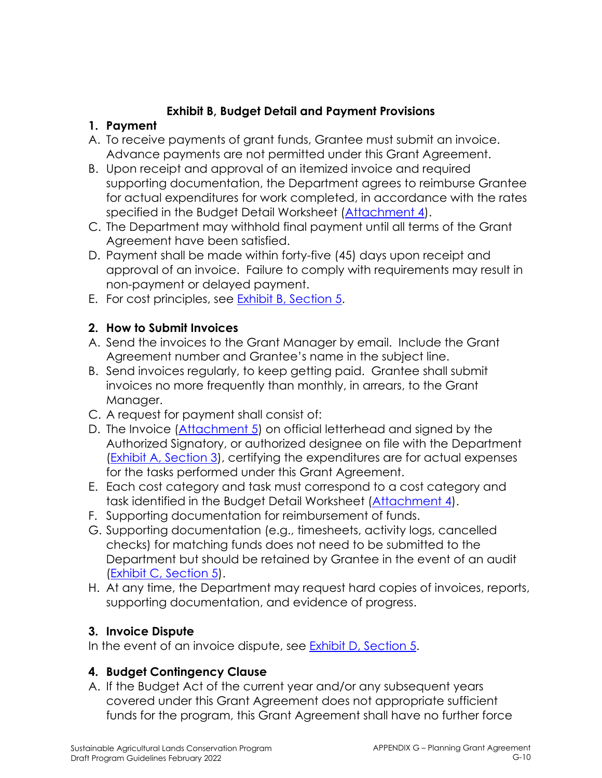## **Exhibit B, Budget Detail and Payment Provisions**

### **1. Payment**

- A. To receive payments of grant funds, Grantee must submit an invoice. Advance payments are not permitted under this Grant Agreement.
- B. Upon receipt and approval of an itemized invoice and required supporting documentation, the Department agrees to reimburse Grantee for actual expenditures for work completed, in accordance with the rates specified in the Budget Detail Worksheet (Attachment 4).
- C. The Department may withhold final payment until all terms of the Grant Agreement have been satisfied.
- D. Payment shall be made within forty-five (45) days upon receipt and approval of an invoice. Failure to comply with requirements may result in non-payment or delayed payment.
- E. For cost principles, see Exhibit B, Section 5.

## **2. How to Submit Invoices**

- A. Send the invoices to the Grant Manager by email. Include the Grant Agreement number and Grantee's name in the subject line.
- B. Send invoices regularly, to keep getting paid. Grantee shall submit invoices no more frequently than monthly, in arrears, to the Grant Manager.
- C. A request for payment shall consist of:
- D. The Invoice (Attachment 5) on official letterhead and signed by the Authorized Signatory, or authorized designee on file with the Department (Exhibit A, Section 3), certifying the expenditures are for actual expenses for the tasks performed under this Grant Agreement.
- E. Each cost category and task must correspond to a cost category and task identified in the Budget Detail Worksheet (Attachment 4).
- F. Supporting documentation for reimbursement of funds.
- G. Supporting documentation (e.g., timesheets, activity logs, cancelled checks) for matching funds does not need to be submitted to the Department but should be retained by Grantee in the event of an audit (Exhibit C, Section 5).
- H. At any time, the Department may request hard copies of invoices, reports, supporting documentation, and evidence of progress.

## **3. Invoice Dispute**

In the event of an invoice dispute, see **Exhibit D**, Section 5.

## **4. Budget Contingency Clause**

A. If the Budget Act of the current year and/or any subsequent years covered under this Grant Agreement does not appropriate sufficient funds for the program, this Grant Agreement shall have no further force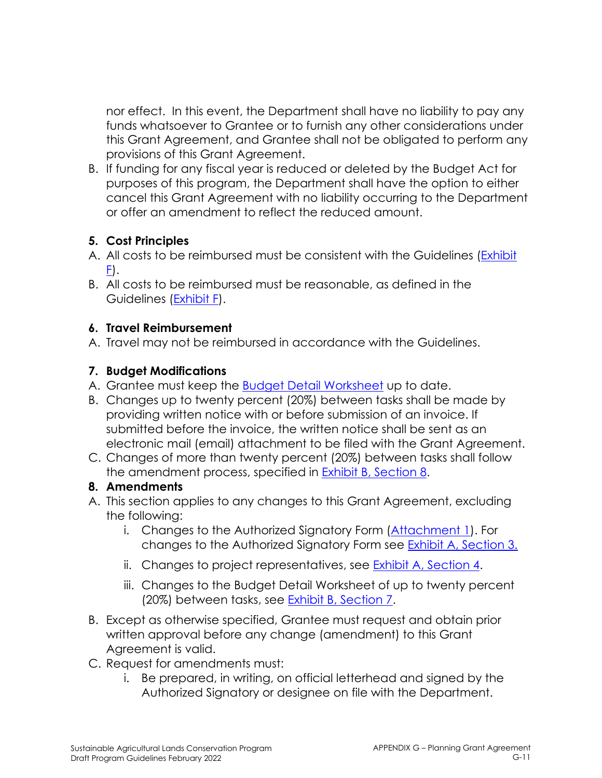nor effect. In this event, the Department shall have no liability to pay any funds whatsoever to Grantee or to furnish any other considerations under this Grant Agreement, and Grantee shall not be obligated to perform any provisions of this Grant Agreement.

B. If funding for any fiscal year is reduced or deleted by the Budget Act for purposes of this program, the Department shall have the option to either cancel this Grant Agreement with no liability occurring to the Department or offer an amendment to reflect the reduced amount.

## **5. Cost Principles**

- A. All costs to be reimbursed must be consistent with the Guidelines (Exhibit  $E$ ).
- B. All costs to be reimbursed must be reasonable, as defined in the Guidelines (Exhibit F).

### **6. Travel Reimbursement**

A. Travel may not be reimbursed in accordance with the Guidelines.

## **7. Budget Modifications**

- A. Grantee must keep the Budget Detail Worksheet up to date.
- B. Changes up to twenty percent (20%) between tasks shall be made by providing written notice with or before submission of an invoice. If submitted before the invoice, the written notice shall be sent as an electronic mail (email) attachment to be filed with the Grant Agreement.
- C. Changes of more than twenty percent (20%) between tasks shall follow the amendment process, specified in **Exhibit B**, Section 8.

### **8. Amendments**

- A. This section applies to any changes to this Grant Agreement, excluding the following:
	- i. Changes to the Authorized Signatory Form (Attachment 1). For changes to the Authorized Signatory Form see Exhibit A, Section 3.
	- ii. Changes to project representatives, see Exhibit A, Section 4.
	- iii. Changes to the Budget Detail Worksheet of up to twenty percent (20%) between tasks, see Exhibit B, Section 7.
- B. Except as otherwise specified, Grantee must request and obtain prior written approval before any change (amendment) to this Grant Agreement is valid.
- C. Request for amendments must:
	- i. Be prepared, in writing, on official letterhead and signed by the Authorized Signatory or designee on file with the Department.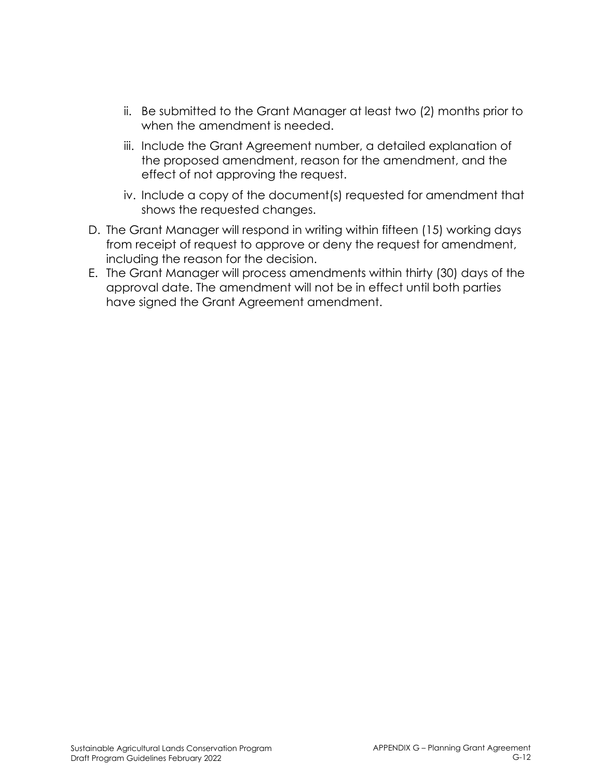- ii. Be submitted to the Grant Manager at least two (2) months prior to when the amendment is needed.
- iii. Include the Grant Agreement number, a detailed explanation of the proposed amendment, reason for the amendment, and the effect of not approving the request.
- iv. Include a copy of the document(s) requested for amendment that shows the requested changes.
- D. The Grant Manager will respond in writing within fifteen (15) working days from receipt of request to approve or deny the request for amendment, including the reason for the decision.
- E. The Grant Manager will process amendments within thirty (30) days of the approval date. The amendment will not be in effect until both parties have signed the Grant Agreement amendment.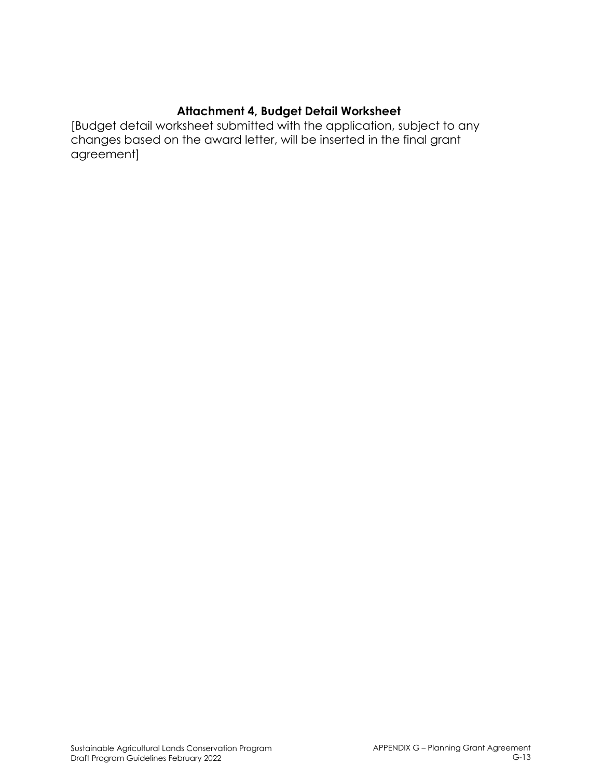### **Attachment 4, Budget Detail Worksheet**

[Budget detail worksheet submitted with the application, subject to any changes based on the award letter, will be inserted in the final grant agreement]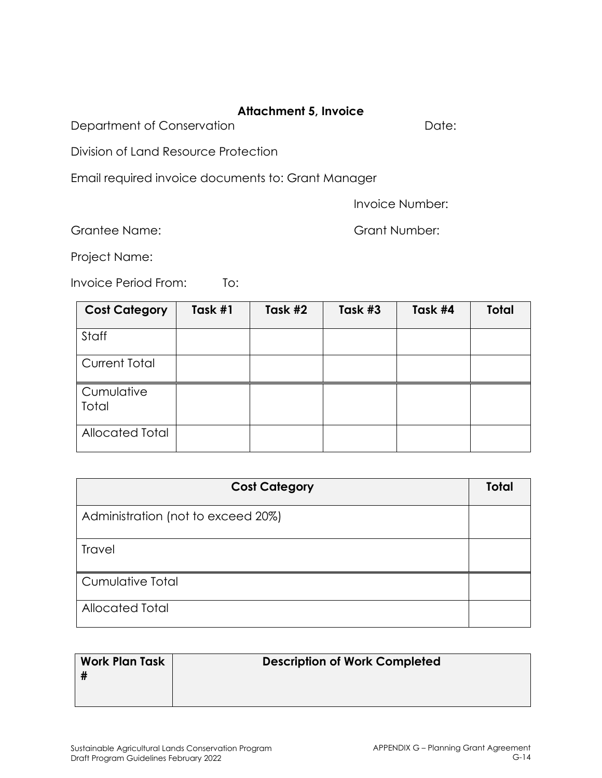### **Attachment 5, Invoice**

Department of Conservation **Department** of Conservation

Division of Land Resource Protection

Email required invoice documents to: Grant Manager

Invoice Number:

Grantee Name: Grant Number:

Project Name:

Invoice Period From: To:

| <b>Cost Category</b>   | Task #1 | Task #2 | Task #3 | Task #4 | <b>Total</b> |
|------------------------|---------|---------|---------|---------|--------------|
| Staff                  |         |         |         |         |              |
| <b>Current Total</b>   |         |         |         |         |              |
| Cumulative<br>Total    |         |         |         |         |              |
| <b>Allocated Total</b> |         |         |         |         |              |

| <b>Cost Category</b>               | <b>Total</b> |  |  |
|------------------------------------|--------------|--|--|
| Administration (not to exceed 20%) |              |  |  |
| Travel                             |              |  |  |
| Cumulative Total                   |              |  |  |
| Allocated Total                    |              |  |  |

| <b>Work Plan Task</b> | <b>Description of Work Completed</b> |
|-----------------------|--------------------------------------|
|-----------------------|--------------------------------------|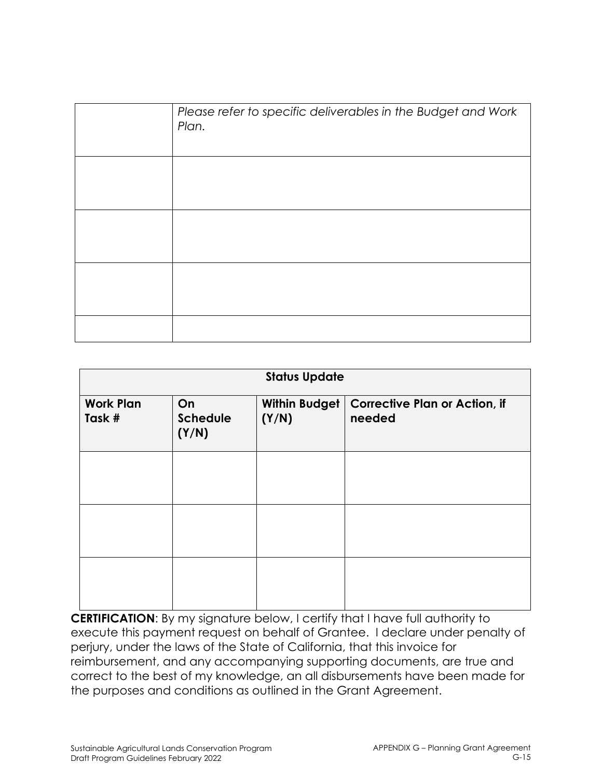| Please refer to specific deliverables in the Budget and Work<br>Plan. |
|-----------------------------------------------------------------------|
|                                                                       |
|                                                                       |
|                                                                       |
|                                                                       |

| <b>Status Update</b>       |                                |                        |                                                |
|----------------------------|--------------------------------|------------------------|------------------------------------------------|
| <b>Work Plan</b><br>Task # | On<br><b>Schedule</b><br>(Y/N) | Within Budget<br>(Y/N) | <b>Corrective Plan or Action, if</b><br>needed |
|                            |                                |                        |                                                |
|                            |                                |                        |                                                |
|                            |                                |                        |                                                |

**CERTIFICATION**: By my signature below, I certify that I have full authority to execute this payment request on behalf of Grantee. I declare under penalty of perjury, under the laws of the State of California, that this invoice for reimbursement, and any accompanying supporting documents, are true and correct to the best of my knowledge, an all disbursements have been made for the purposes and conditions as outlined in the Grant Agreement.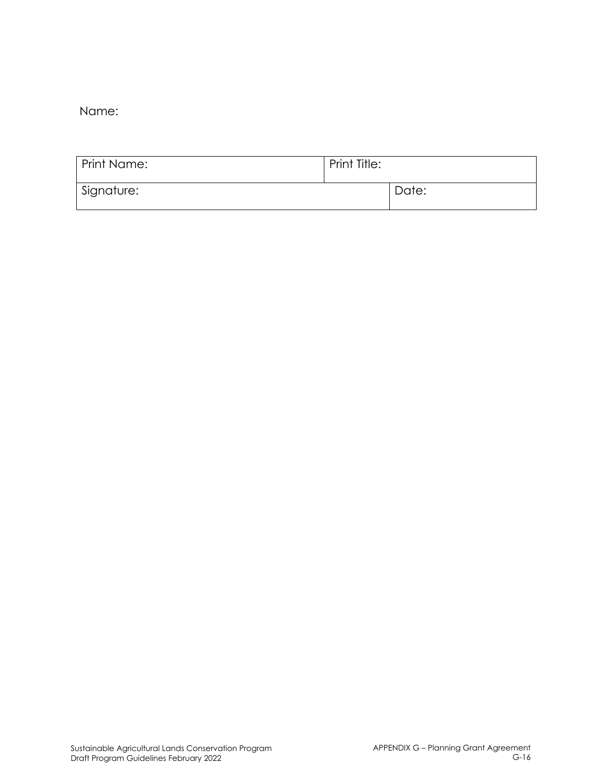Name:

| <b>Print Name:</b> | Print Title: |       |
|--------------------|--------------|-------|
| Signature:         |              | Date: |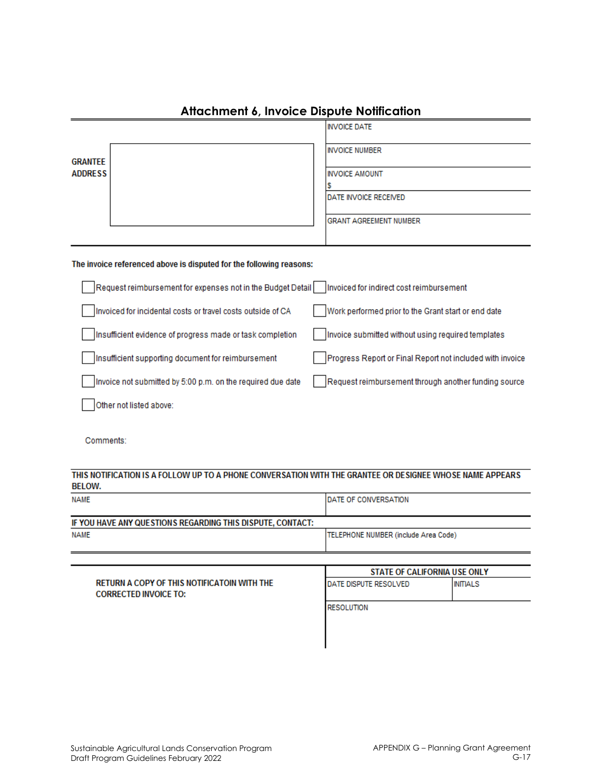|                                                                                                                           | <b>INVOICE DATE</b>                                       |  |  |
|---------------------------------------------------------------------------------------------------------------------------|-----------------------------------------------------------|--|--|
| <b>GRANTEE</b><br><b>ADDRESS</b>                                                                                          | <b>INVOICE NUMBER</b>                                     |  |  |
|                                                                                                                           | <b>INVOICE AMOUNT</b>                                     |  |  |
|                                                                                                                           | s<br>DATE INVOICE RECEIVED                                |  |  |
|                                                                                                                           | <b>GRANT AGREEMENT NUMBER</b>                             |  |  |
| The invoice referenced above is disputed for the following reasons:                                                       |                                                           |  |  |
| Request reimbursement for expenses not in the Budget Detail                                                               | Invoiced for indirect cost reimbursement                  |  |  |
| Invoiced for incidental costs or travel costs outside of CA                                                               | Work performed prior to the Grant start or end date       |  |  |
| Insufficient evidence of progress made or task completion                                                                 | Invoice submitted without using required templates        |  |  |
| Insufficient supporting document for reimbursement                                                                        | Progress Report or Final Report not included with invoice |  |  |
| Invoice not submitted by 5:00 p.m. on the required due date                                                               | Request reimbursement through another funding source      |  |  |
| Other not listed above:                                                                                                   |                                                           |  |  |
| Comments:                                                                                                                 |                                                           |  |  |
| THIS NOTIFICATION IS A FOLLOW UP TO A PHONE CONVERSATION WITH THE GRANTEE OR DESIGNEE WHOSE NAME APPEARS<br><b>BELOW.</b> |                                                           |  |  |
| <b>NAME</b>                                                                                                               | DATE OF CONVERSATION                                      |  |  |
| IF YOU HAVE ANY QUESTIONS REGARDING THIS DISPUTE, CONTACT:                                                                |                                                           |  |  |
| <b>NAME</b>                                                                                                               | TELEPHONE NUMBER (include Area Code)                      |  |  |
|                                                                                                                           | <b>STATE OF CALIFORNIA USE ONLY</b>                       |  |  |

#### **Attachment 6, Invoice Dispute Notification**

RETURN A COPY OF THIS NOTIFICATOIN WITH THE **INITIALS** DATE DISPUTE RESOLVED **CORRECTED INVOICE TO: RESOLUTION**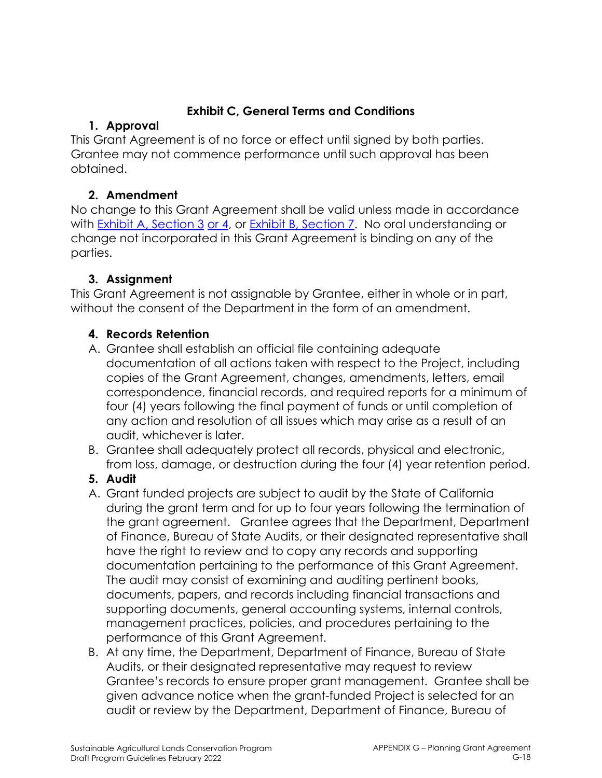## **Exhibit C, General Terms and Conditions**

## **1. Approval**

This Grant Agreement is of no force or effect until signed by both parties. Grantee may not commence performance until such approval has been obtained.

## **2. Amendment**

No change to this Grant Agreement shall be valid unless made in accordance with Exhibit A, Section 3 or 4, or Exhibit B, Section 7. No oral understanding or change not incorporated in this Grant Agreement is binding on any of the parties.

## **3. Assignment**

This Grant Agreement is not assignable by Grantee, either in whole or in part, without the consent of the Department in the form of an amendment.

## **4. Records Retention**

- A. Grantee shall establish an official file containing adequate documentation of all actions taken with respect to the Project, including copies of the Grant Agreement, changes, amendments, letters, email correspondence, financial records, and required reports for a minimum of four (4) years following the final payment of funds or until completion of any action and resolution of all issues which may arise as a result of an audit, whichever is later.
- B. Grantee shall adequately protect all records, physical and electronic, from loss, damage, or destruction during the four (4) year retention period.
- **5. Audit**
- A. Grant funded projects are subject to audit by the State of California during the grant term and for up to four years following the termination of the grant agreement. Grantee agrees that the Department, Department of Finance, Bureau of State Audits, or their designated representative shall have the right to review and to copy any records and supporting documentation pertaining to the performance of this Grant Agreement. The audit may consist of examining and auditing pertinent books, documents, papers, and records including financial transactions and supporting documents, general accounting systems, internal controls, management practices, policies, and procedures pertaining to the performance of this Grant Agreement.
- B. At any time, the Department, Department of Finance, Bureau of State Audits, or their designated representative may request to review Grantee's records to ensure proper grant management. Grantee shall be given advance notice when the grant-funded Project is selected for an audit or review by the Department, Department of Finance, Bureau of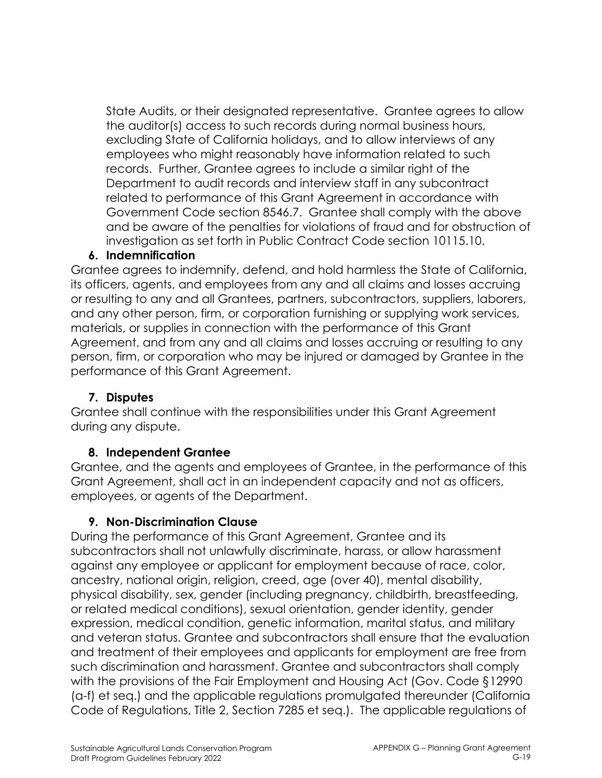State Audits, or their designated representative. Grantee agrees to allow the auditor(s) access to such records during normal business hours, excluding State of California holidays, and to allow interviews of any employees who might reasonably have information related to such records. Further, Grantee agrees to include a similar right of the Department to audit records and interview staff in any subcontract related to performance of this Grant Agreement in accordance with Government Code section 8546.7. Grantee shall comply with the above and be aware of the penalties for violations of fraud and for obstruction of investigation as set forth in Public Contract Code section 10115.10.

#### **6. Indemnification**

Grantee agrees to indemnify, defend, and hold harmless the State of California, its officers, agents, and employees from any and all claims and losses accruing or resulting to any and all Grantees, partners, subcontractors, suppliers, laborers, and any other person, firm, or corporation furnishing or supplying work services, materials, or supplies in connection with the performance of this Grant Agreement, and from any and all claims and losses accruing or resulting to any person, firm, or corporation who may be injured or damaged by Grantee in the performance of this Grant Agreement.

#### **7. Disputes**

Grantee shall continue with the responsibilities under this Grant Agreement during any dispute.

#### **8. Independent Grantee**

Grantee, and the agents and employees of Grantee, in the performance of this Grant Agreement, shall act in an independent capacity and not as officers, employees, or agents of the Department.

### **9. Non-Discrimination Clause**

During the performance of this Grant Agreement, Grantee and its subcontractors shall not unlawfully discriminate, harass, or allow harassment against any employee or applicant for employment because of race, color, ancestry, national origin, religion, creed, age (over 40), mental disability, physical disability, sex, gender (including pregnancy, childbirth, breastfeeding, or related medical conditions), sexual orientation, gender identity, gender expression, medical condition, genetic information, marital status, and military and veteran status. Grantee and subcontractors shall ensure that the evaluation and treatment of their employees and applicants for employment are free from such discrimination and harassment. Grantee and subcontractors shall comply with the provisions of the Fair Employment and Housing Act (Gov. Code §12990 (a-f) et seq.) and the applicable regulations promulgated thereunder (California Code of Regulations, Title 2, Section 7285 et seq.). The applicable regulations of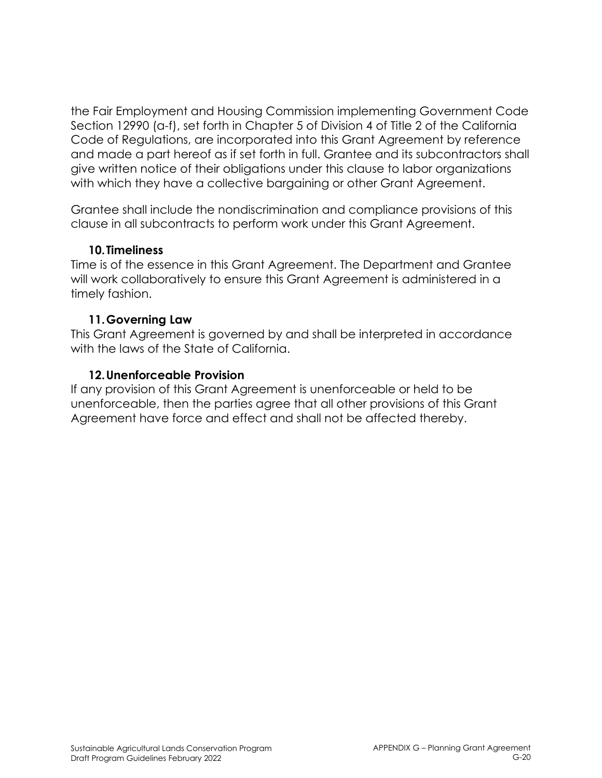the Fair Employment and Housing Commission implementing Government Code Section 12990 (a-f), set forth in Chapter 5 of Division 4 of Title 2 of the California Code of Regulations, are incorporated into this Grant Agreement by reference and made a part hereof as if set forth in full. Grantee and its subcontractors shall give written notice of their obligations under this clause to labor organizations with which they have a collective bargaining or other Grant Agreement.

Grantee shall include the nondiscrimination and compliance provisions of this clause in all subcontracts to perform work under this Grant Agreement.

#### **10.Timeliness**

Time is of the essence in this Grant Agreement. The Department and Grantee will work collaboratively to ensure this Grant Agreement is administered in a timely fashion.

### **11.Governing Law**

This Grant Agreement is governed by and shall be interpreted in accordance with the laws of the State of California.

### **12.Unenforceable Provision**

If any provision of this Grant Agreement is unenforceable or held to be unenforceable, then the parties agree that all other provisions of this Grant Agreement have force and effect and shall not be affected thereby.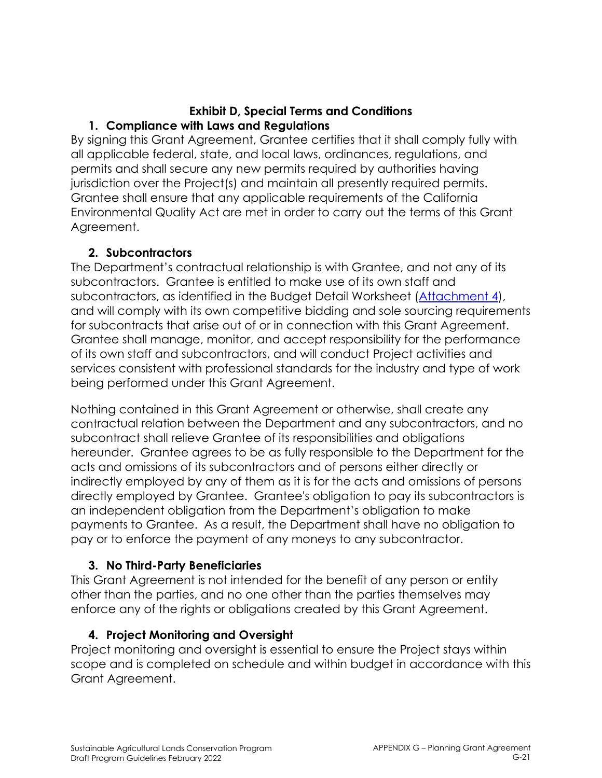#### **Exhibit D, Special Terms and Conditions 1. Compliance with Laws and Regulations**

By signing this Grant Agreement, Grantee certifies that it shall comply fully with all applicable federal, state, and local laws, ordinances, regulations, and permits and shall secure any new permits required by authorities having jurisdiction over the Project(s) and maintain all presently required permits. Grantee shall ensure that any applicable requirements of the California Environmental Quality Act are met in order to carry out the terms of this Grant Agreement.

### **2. Subcontractors**

The Department's contractual relationship is with Grantee, and not any of its subcontractors. Grantee is entitled to make use of its own staff and subcontractors, as identified in the Budget Detail Worksheet (Attachment 4), and will comply with its own competitive bidding and sole sourcing requirements for subcontracts that arise out of or in connection with this Grant Agreement. Grantee shall manage, monitor, and accept responsibility for the performance of its own staff and subcontractors, and will conduct Project activities and services consistent with professional standards for the industry and type of work being performed under this Grant Agreement.

Nothing contained in this Grant Agreement or otherwise, shall create any contractual relation between the Department and any subcontractors, and no subcontract shall relieve Grantee of its responsibilities and obligations hereunder. Grantee agrees to be as fully responsible to the Department for the acts and omissions of its subcontractors and of persons either directly or indirectly employed by any of them as it is for the acts and omissions of persons directly employed by Grantee. Grantee's obligation to pay its subcontractors is an independent obligation from the Department's obligation to make payments to Grantee. As a result, the Department shall have no obligation to pay or to enforce the payment of any moneys to any subcontractor.

## **3. No Third-Party Beneficiaries**

This Grant Agreement is not intended for the benefit of any person or entity other than the parties, and no one other than the parties themselves may enforce any of the rights or obligations created by this Grant Agreement.

### **4. Project Monitoring and Oversight**

Project monitoring and oversight is essential to ensure the Project stays within scope and is completed on schedule and within budget in accordance with this Grant Agreement.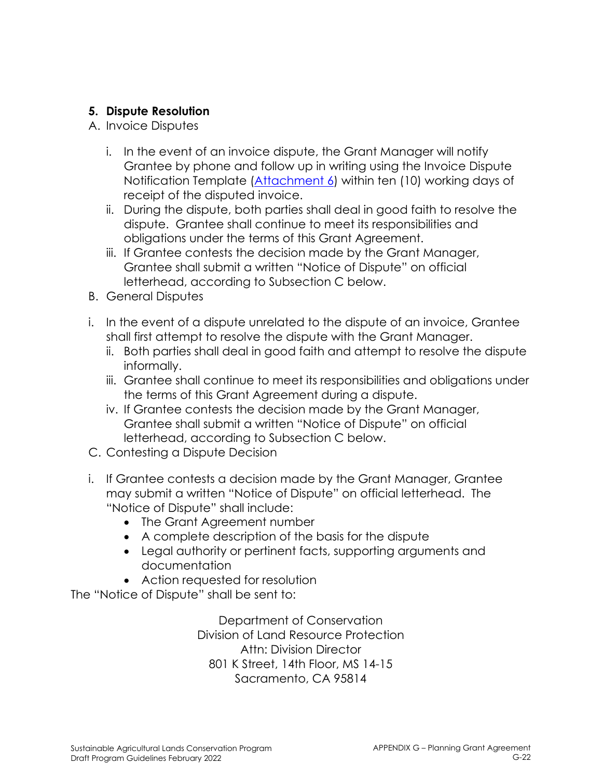### **5. Dispute Resolution**

- A. Invoice Disputes
	- i. In the event of an invoice dispute, the Grant Manager will notify Grantee by phone and follow up in writing using the Invoice Dispute Notification Template (Attachment 6) within ten (10) working days of receipt of the disputed invoice.
	- ii. During the dispute, both parties shall deal in good faith to resolve the dispute. Grantee shall continue to meet its responsibilities and obligations under the terms of this Grant Agreement.
	- iii. If Grantee contests the decision made by the Grant Manager, Grantee shall submit a written "Notice of Dispute" on official letterhead, according to Subsection C below.
- B. General Disputes
- i. In the event of a dispute unrelated to the dispute of an invoice, Grantee shall first attempt to resolve the dispute with the Grant Manager.
	- ii. Both parties shall deal in good faith and attempt to resolve the dispute informally.
	- iii. Grantee shall continue to meet its responsibilities and obligations under the terms of this Grant Agreement during a dispute.
	- iv. If Grantee contests the decision made by the Grant Manager, Grantee shall submit a written "Notice of Dispute" on official letterhead, according to Subsection C below.
- C. Contesting a Dispute Decision
- i. If Grantee contests a decision made by the Grant Manager, Grantee may submit a written "Notice of Dispute" on official letterhead. The "Notice of Dispute" shall include:
	- The Grant Agreement number
	- A complete description of the basis for the dispute
	- Legal authority or pertinent facts, supporting arguments and documentation
	- Action requested for resolution

The "Notice of Dispute" shall be sent to:

Department of Conservation Division of Land Resource Protection Attn: Division Director 801 K Street, 14th Floor, MS 14-15 Sacramento, CA 95814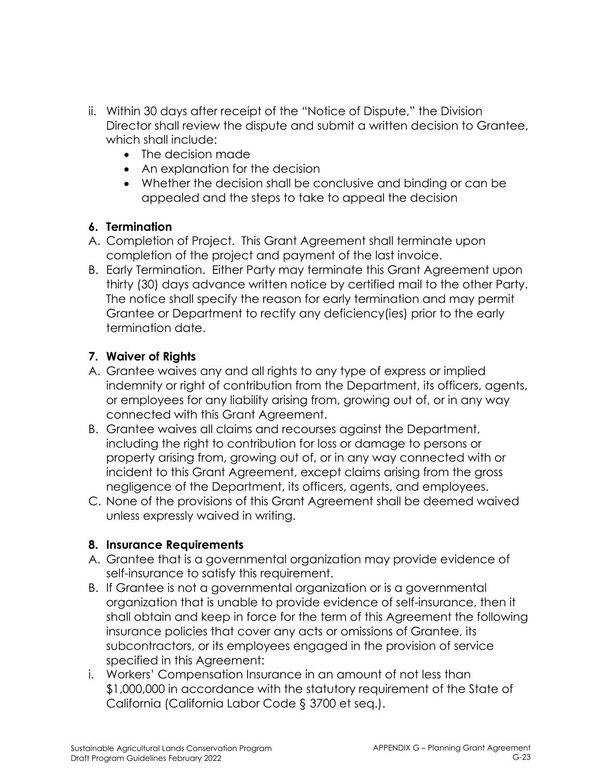- ii. Within 30 days after receipt of the "Notice of Dispute," the Division Director shall review the dispute and submit a written decision to Grantee, which shall include:
	- The decision made
	- An explanation for the decision
	- Whether the decision shall be conclusive and binding or can be appealed and the steps to take to appeal the decision

### **6. Termination**

- A. Completion of Project. This Grant Agreement shall terminate upon completion of the project and payment of the last invoice.
- B. Early Termination. Either Party may terminate this Grant Agreement upon thirty (30) days advance written notice by certified mail to the other Party. The notice shall specify the reason for early termination and may permit Grantee or Department to rectify any deficiency(ies) prior to the early termination date.

## **7. Waiver of Rights**

- A. Grantee waives any and all rights to any type of express or implied indemnity or right of contribution from the Department, its officers, agents, or employees for any liability arising from, growing out of, or in any way connected with this Grant Agreement.
- B. Grantee waives all claims and recourses against the Department, including the right to contribution for loss or damage to persons or property arising from, growing out of, or in any way connected with or incident to this Grant Agreement, except claims arising from the gross negligence of the Department, its officers, agents, and employees.
- C. None of the provisions of this Grant Agreement shall be deemed waived unless expressly waived in writing.

### **8. Insurance Requirements**

- A. Grantee that is a governmental organization may provide evidence of self-insurance to satisfy this requirement.
- B. If Grantee is not a governmental organization or is a governmental organization that is unable to provide evidence of self-insurance, then it shall obtain and keep in force for the term of this Agreement the following insurance policies that cover any acts or omissions of Grantee, its subcontractors, or its employees engaged in the provision of service specified in this Agreement:
- i. Workers' Compensation Insurance in an amount of not less than \$1,000,000 in accordance with the statutory requirement of the State of California (California Labor Code § 3700 et seq.).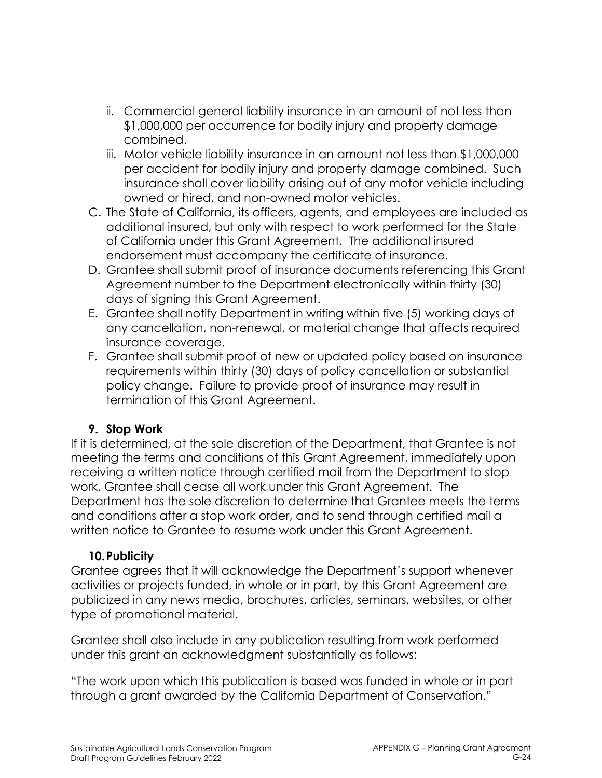- ii. Commercial general liability insurance in an amount of not less than \$1,000,000 per occurrence for bodily injury and property damage combined.
- iii. Motor vehicle liability insurance in an amount not less than \$1,000,000 per accident for bodily injury and property damage combined. Such insurance shall cover liability arising out of any motor vehicle including owned or hired, and non-owned motor vehicles.
- C. The State of California, its officers, agents, and employees are included as additional insured, but only with respect to work performed for the State of California under this Grant Agreement. The additional insured endorsement must accompany the certificate of insurance.
- D. Grantee shall submit proof of insurance documents referencing this Grant Agreement number to the Department electronically within thirty (30) days of signing this Grant Agreement.
- E. Grantee shall notify Department in writing within five (5) working days of any cancellation, non-renewal, or material change that affects required insurance coverage.
- F. Grantee shall submit proof of new or updated policy based on insurance requirements within thirty (30) days of policy cancellation or substantial policy change. Failure to provide proof of insurance may result in termination of this Grant Agreement.

### **9. Stop Work**

If it is determined, at the sole discretion of the Department, that Grantee is not meeting the terms and conditions of this Grant Agreement, immediately upon receiving a written notice through certified mail from the Department to stop work, Grantee shall cease all work under this Grant Agreement. The Department has the sole discretion to determine that Grantee meets the terms and conditions after a stop work order, and to send through certified mail a written notice to Grantee to resume work under this Grant Agreement.

## **10.Publicity**

Grantee agrees that it will acknowledge the Department's support whenever activities or projects funded, in whole or in part, by this Grant Agreement are publicized in any news media, brochures, articles, seminars, websites, or other type of promotional material.

Grantee shall also include in any publication resulting from work performed under this grant an acknowledgment substantially as follows:

"The work upon which this publication is based was funded in whole or in part through a grant awarded by the California Department of Conservation."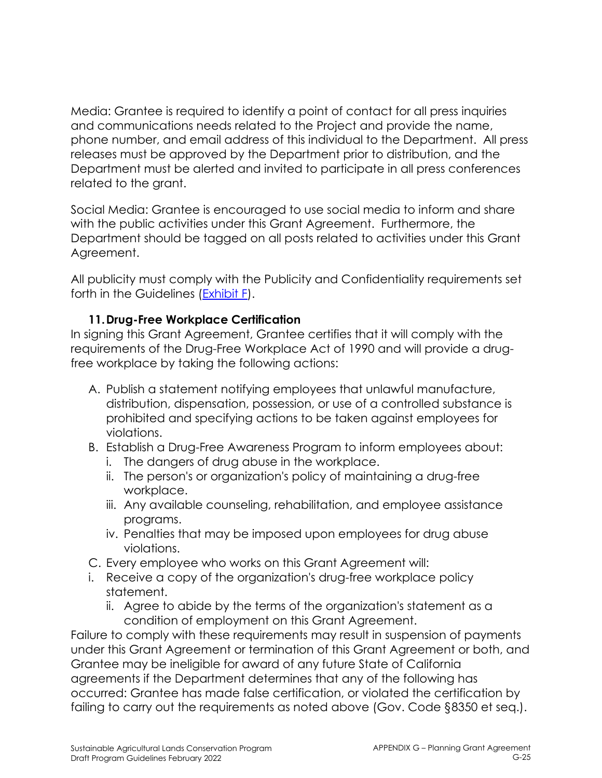Media: Grantee is required to identify a point of contact for all press inquiries and communications needs related to the Project and provide the name, phone number, and email address of this individual to the Department. All press releases must be approved by the Department prior to distribution, and the Department must be alerted and invited to participate in all press conferences related to the grant.

Social Media: Grantee is encouraged to use social media to inform and share with the public activities under this Grant Agreement. Furthermore, the Department should be tagged on all posts related to activities under this Grant Agreement.

All publicity must comply with the Publicity and Confidentiality requirements set forth in the Guidelines (Exhibit F).

### **11.Drug-Free Workplace Certification**

In signing this Grant Agreement, Grantee certifies that it will comply with the requirements of the Drug-Free Workplace Act of 1990 and will provide a drugfree workplace by taking the following actions:

- A. Publish a statement notifying employees that unlawful manufacture, distribution, dispensation, possession, or use of a controlled substance is prohibited and specifying actions to be taken against employees for violations.
- B. Establish a Drug-Free Awareness Program to inform employees about:
	- i. The dangers of drug abuse in the workplace.
	- ii. The person's or organization's policy of maintaining a drug-free workplace.
	- iii. Any available counseling, rehabilitation, and employee assistance programs.
	- iv. Penalties that may be imposed upon employees for drug abuse violations.
- C. Every employee who works on this Grant Agreement will:
- i. Receive a copy of the organization's drug-free workplace policy statement.
	- ii. Agree to abide by the terms of the organization's statement as a condition of employment on this Grant Agreement.

Failure to comply with these requirements may result in suspension of payments under this Grant Agreement or termination of this Grant Agreement or both, and Grantee may be ineligible for award of any future State of California agreements if the Department determines that any of the following has occurred: Grantee has made false certification, or violated the certification by failing to carry out the requirements as noted above (Gov. Code §8350 et seq.).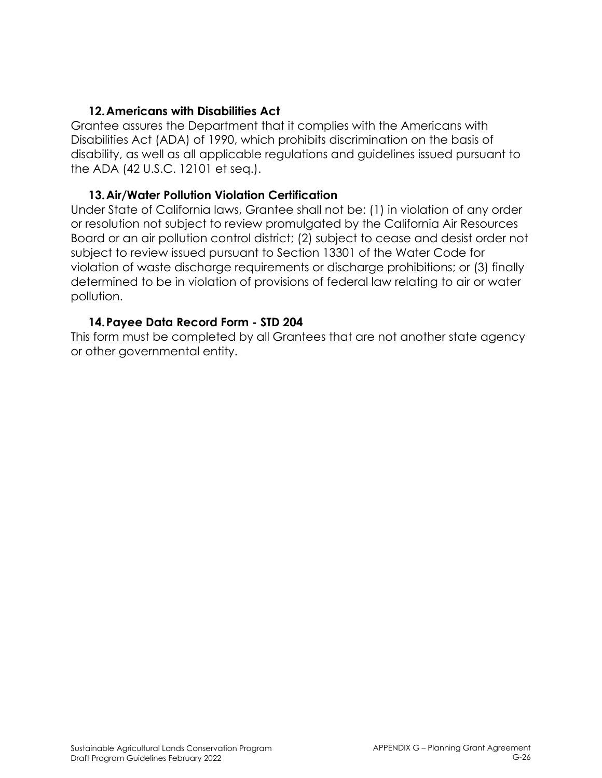#### **12.Americans with Disabilities Act**

Grantee assures the Department that it complies with the Americans with Disabilities Act (ADA) of 1990, which prohibits discrimination on the basis of disability, as well as all applicable regulations and guidelines issued pursuant to the ADA (42 U.S.C. 12101 et seq.).

#### **13.Air/Water Pollution Violation Certification**

Under State of California laws, Grantee shall not be: (1) in violation of any order or resolution not subject to review promulgated by the California Air Resources Board or an air pollution control district; (2) subject to cease and desist order not subject to review issued pursuant to Section 13301 of the Water Code for violation of waste discharge requirements or discharge prohibitions; or (3) finally determined to be in violation of provisions of federal law relating to air or water pollution.

### **14.Payee Data Record Form - STD 204**

This form must be completed by all Grantees that are not another state agency or other governmental entity.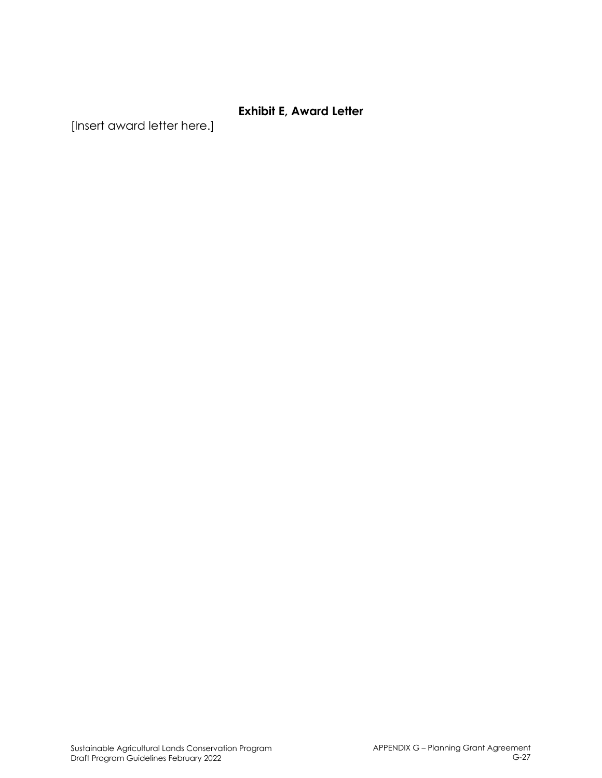### **Exhibit E, Award Letter**

[Insert award letter here.]